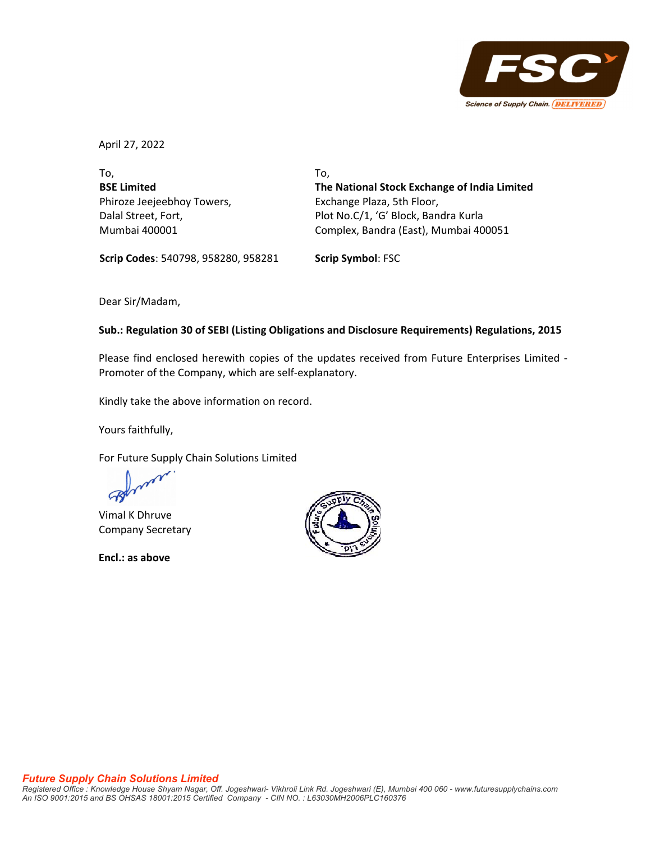

April 27, 2022

To, **BSE Limited** Phiroze Jeejeebhoy Towers, Dalal Street, Fort, Mumbai 400001

To, **The National Stock Exchange of India Limited** Exchange Plaza, 5th Floor, Plot No.C/1, 'G' Block, Bandra Kurla Complex, Bandra (East), Mumbai 400051

**Scrip Codes**: 540798, 958280, 958281 **Scrip Symbol**: FSC

Dear Sir/Madam,

### **Sub.: Regulation 30 of SEBI (Listing Obligations and Disclosure Requirements) Regulations, 2015**

Please find enclosed herewith copies of the updates received from Future Enterprises Limited ‐ Promoter of the Company, which are self‐explanatory.

Kindly take the above information on record.

Yours faithfully,

For Future Supply Chain Solutions Limited

Vimal K Dhruve Company Secretary

**Encl.: as above**

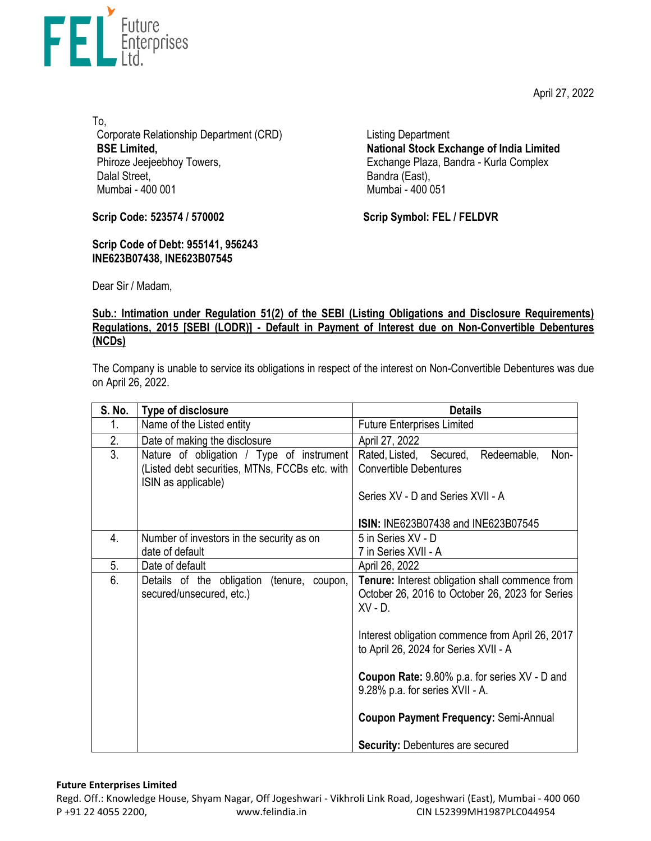April 27, 2022



To, Corporate Relationship Department (CRD) **BSE Limited,**  Phiroze Jeejeebhoy Towers, Dalal Street, Mumbai - 400 001

**Scrip Code: 523574 / 570002**

**Scrip Code of Debt: 955141, 956243 INE623B07438, INE623B07545** 

Listing Department **National Stock Exchange of India Limited**  Exchange Plaza, Bandra - Kurla Complex Bandra (East), Mumbai - 400 051

**Scrip Symbol: FEL / FELDVR**

Dear Sir / Madam,

# **Sub.: Intimation under Regulation 51(2) of the SEBI (Listing Obligations and Disclosure Requirements) Regulations, 2015 [SEBI (LODR)] - Default in Payment of Interest due on Non-Convertible Debentures (NCDs)**

The Company is unable to service its obligations in respect of the interest on Non-Convertible Debentures was due on April 26, 2022.

| <b>S. No.</b> | Type of disclosure                                                                                                 | <b>Details</b>                                                                                                                                                                                                                                                                                                                                                                                    |
|---------------|--------------------------------------------------------------------------------------------------------------------|---------------------------------------------------------------------------------------------------------------------------------------------------------------------------------------------------------------------------------------------------------------------------------------------------------------------------------------------------------------------------------------------------|
| 1.            | Name of the Listed entity                                                                                          | <b>Future Enterprises Limited</b>                                                                                                                                                                                                                                                                                                                                                                 |
| 2.            | Date of making the disclosure                                                                                      | April 27, 2022                                                                                                                                                                                                                                                                                                                                                                                    |
| 3.            | Nature of obligation / Type of instrument<br>(Listed debt securities, MTNs, FCCBs etc. with<br>ISIN as applicable) | Rated, Listed, Secured,<br>Redeemable,<br>Non-<br><b>Convertible Debentures</b><br>Series XV - D and Series XVII - A<br><b>ISIN: INE623B07438 and INE623B07545</b>                                                                                                                                                                                                                                |
| 4.            | Number of investors in the security as on<br>date of default                                                       | 5 in Series XV - D<br>7 in Series XVII - A                                                                                                                                                                                                                                                                                                                                                        |
| 5.            | Date of default                                                                                                    | April 26, 2022                                                                                                                                                                                                                                                                                                                                                                                    |
| 6.            | Details of the obligation<br>(tenure, coupon,<br>secured/unsecured, etc.)                                          | Tenure: Interest obligation shall commence from<br>October 26, 2016 to October 26, 2023 for Series<br>$XV - D$<br>Interest obligation commence from April 26, 2017<br>to April 26, 2024 for Series XVII - A<br><b>Coupon Rate:</b> 9.80% p.a. for series XV - D and<br>9.28% p.a. for series XVII - A.<br><b>Coupon Payment Frequency: Semi-Annual</b><br><b>Security: Debentures are secured</b> |

### **Future Enterprises Limited**

Regd. Off.: Knowledge House, Shyam Nagar, Off Jogeshwari ‐ Vikhroli Link Road, Jogeshwari (East), Mumbai ‐ 400 060 P +91 22 4055 2200, www.felindia.in CIN L52399MH1987PLC044954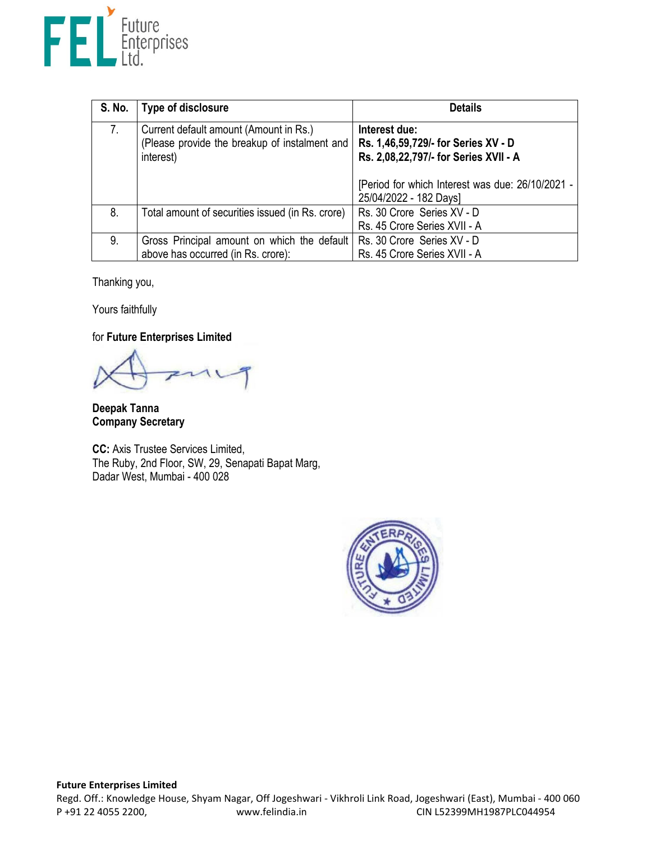

| S. No. | Type of disclosure                                                                                   | <b>Details</b>                                                                                |
|--------|------------------------------------------------------------------------------------------------------|-----------------------------------------------------------------------------------------------|
| 7.     | Current default amount (Amount in Rs.)<br>(Please provide the breakup of instalment and<br>interest) | Interest due:<br>Rs. 1,46,59,729/- for Series XV - D<br>Rs. 2,08,22,797/- for Series XVII - A |
|        |                                                                                                      | [Period for which Interest was due: 26/10/2021 -<br>25/04/2022 - 182 Days]                    |
| 8.     | Total amount of securities issued (in Rs. crore)                                                     | Rs. 30 Crore Series XV - D<br>Rs. 45 Crore Series XVII - A                                    |
| 9.     | Gross Principal amount on which the default<br>above has occurred (in Rs. crore):                    | Rs. 30 Crore Series XV - D<br>Rs. 45 Crore Series XVII - A                                    |

Thanking you,

Yours faithfully

for **Future Enterprises Limited** 

**Deepak Tanna Company Secretary** 

**CC:** Axis Trustee Services Limited, The Ruby, 2nd Floor, SW, 29, Senapati Bapat Marg, Dadar West, Mumbai - 400 028

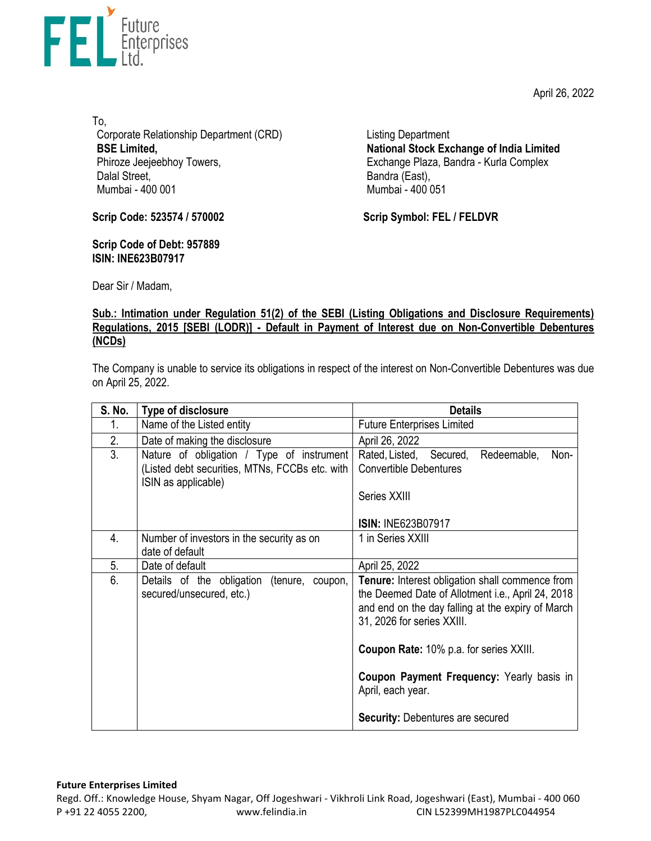April 26, 2022



To, Corporate Relationship Department (CRD) **BSE Limited,**  Phiroze Jeejeebhoy Towers, Dalal Street, Mumbai - 400 001

Listing Department **National Stock Exchange of India Limited**  Exchange Plaza, Bandra - Kurla Complex Bandra (East), Mumbai - 400 051

**Scrip Code: 523574 / 570002**

**Scrip Code of Debt: 957889 ISIN: INE623B07917** 

**Scrip Symbol: FEL / FELDVR**

Dear Sir / Madam,

# **Sub.: Intimation under Regulation 51(2) of the SEBI (Listing Obligations and Disclosure Requirements) Regulations, 2015 [SEBI (LODR)] - Default in Payment of Interest due on Non-Convertible Debentures (NCDs)**

The Company is unable to service its obligations in respect of the interest on Non-Convertible Debentures was due on April 25, 2022.

| S. No. | Type of disclosure                                                                                                 | <b>Details</b>                                                                                                                                                                          |
|--------|--------------------------------------------------------------------------------------------------------------------|-----------------------------------------------------------------------------------------------------------------------------------------------------------------------------------------|
| 1.     | Name of the Listed entity                                                                                          | <b>Future Enterprises Limited</b>                                                                                                                                                       |
| 2.     | Date of making the disclosure                                                                                      | April 26, 2022                                                                                                                                                                          |
| 3.     | Nature of obligation / Type of instrument<br>(Listed debt securities, MTNs, FCCBs etc. with<br>ISIN as applicable) | Rated, Listed, Secured,<br>Redeemable,<br>Non-<br><b>Convertible Debentures</b><br>Series XXIII                                                                                         |
|        |                                                                                                                    | <b>ISIN: INE623B07917</b>                                                                                                                                                               |
| 4.     | Number of investors in the security as on<br>date of default                                                       | 1 in Series XXIII                                                                                                                                                                       |
| 5.     | Date of default                                                                                                    | April 25, 2022                                                                                                                                                                          |
| 6.     | Details of the obligation<br>(tenure, coupon,<br>secured/unsecured, etc.)                                          | Tenure: Interest obligation shall commence from<br>the Deemed Date of Allotment i.e., April 24, 2018<br>and end on the day falling at the expiry of March<br>31, 2026 for series XXIII. |
|        |                                                                                                                    | Coupon Rate: 10% p.a. for series XXIII.                                                                                                                                                 |
|        |                                                                                                                    | Coupon Payment Frequency: Yearly basis in<br>April, each year.                                                                                                                          |
|        |                                                                                                                    | <b>Security: Debentures are secured</b>                                                                                                                                                 |

#### **Future Enterprises Limited**